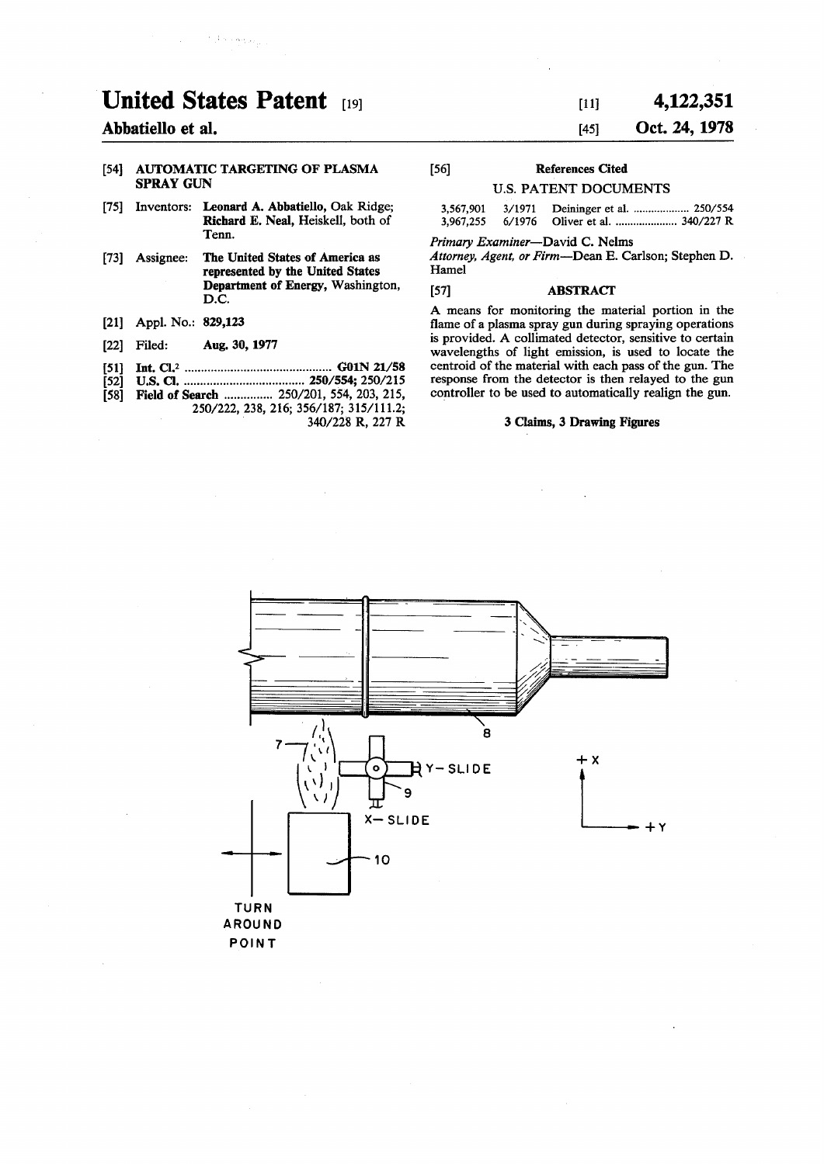# **United States Patent [19]**

 $\mathcal{F}(\mathcal{F})$  and  $\mathcal{F}_{\mathcal{F}}$ 

# **Abbatiello et al.**

#### **[54] AUTOMATIC TARGETING OF PLASMA SPRAY GUN**

- **[75] Inventors: Leonard A. Abbatiello, Oak Ridge; Richard E. Neal, Heiskell, both of Tenn.**
- **[73] Assignee: The United States of America as represented by the United States Department of Energy, Washington, D.C.**
- **[21] Appl. No.: 829,123**
- **[22] Filed: Aug. 30, 1977**
- **[51] Int. CI.<sup>2</sup> G01N 21/58**
- **[52] U.S. Q 250/554; 250/215 [58] Field of Search 250/201, 554, 203, 215, 250/222, 238, 216; 356/187; 315/111.2;**

**340/228 R, 227 R** 

# **[ii] 4,122,351 [45] Oct. 24, 1978**

# **[56] References Cited**

## **U.S. PATENT DOCUMENTS**

| 3,567,901 | 3/1971 |                                 |
|-----------|--------|---------------------------------|
| 3,967,255 |        | 6/1976 Oliver et al.  340/227 R |

*Primary Examiner***—David C. Nelms** 

*Attorney, Agent, or Firm***—Dean E. Carlson; Stephen D. Hamel** 

#### **[57] ABSTRACT**

**A means for monitoring the material portion in the flame of a plasma spray gun during spraying operations is provided. A collimated detector, sensitive to certain wavelengths of light emission, is used to locate the centroid of the material with each pass of the gun. The response from the detector is then relayed to the gun controller to be used to automatically realign the gun.** 

#### **3 Claims, 3 Drawing Figures**

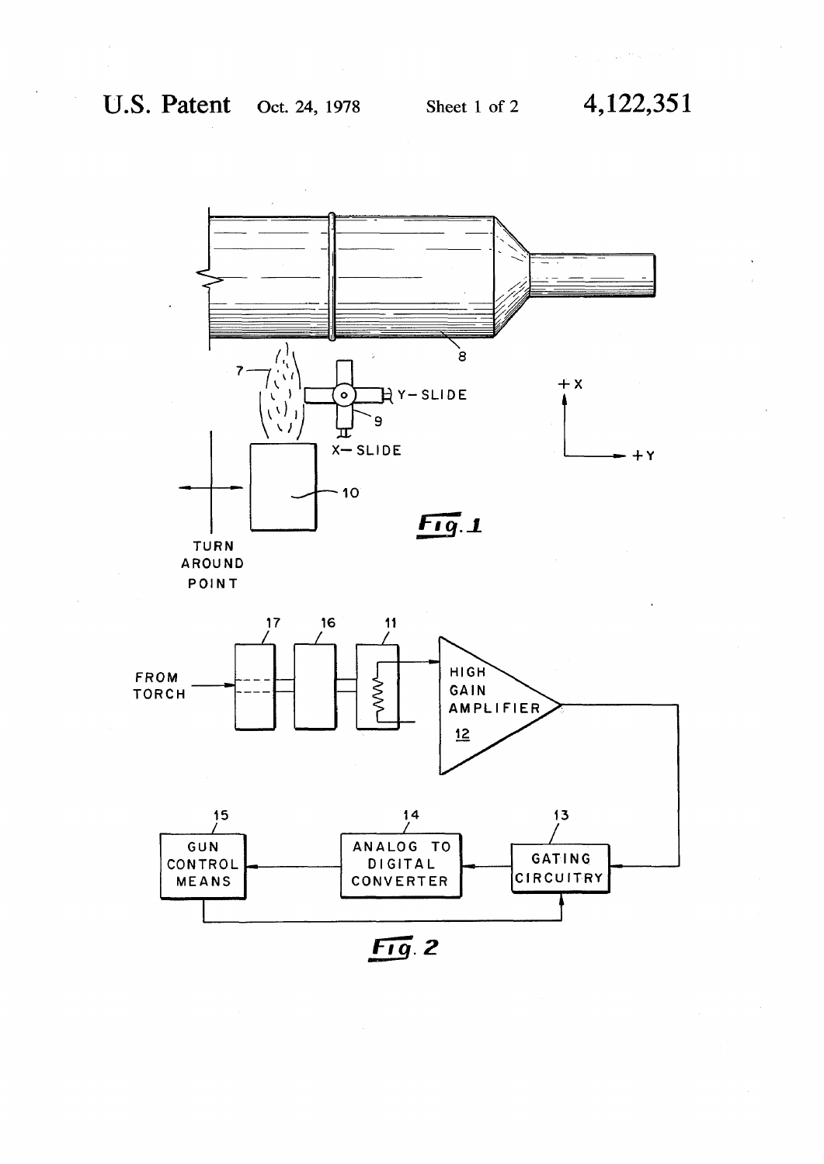**U.S. Patent** Oct. 24,1978 sheet 1 of 2 **4,122,351** 

 $\label{eq:2.1} \frac{1}{2} \left( \frac{1}{\sqrt{2}} \right) \left( \frac{1}{2} \right) \left( \frac{1}{2} \right) \left( \frac{1}{2} \right) \left( \frac{1}{2} \right) \left( \frac{1}{2} \right) \left( \frac{1}{2} \right) \left( \frac{1}{2} \right) \left( \frac{1}{2} \right) \left( \frac{1}{2} \right) \left( \frac{1}{2} \right) \left( \frac{1}{2} \right) \left( \frac{1}{2} \right) \left( \frac{1}{2} \right) \left( \frac{1}{2} \right) \left( \frac{$ 





**POIN T** 



*FTQ.2*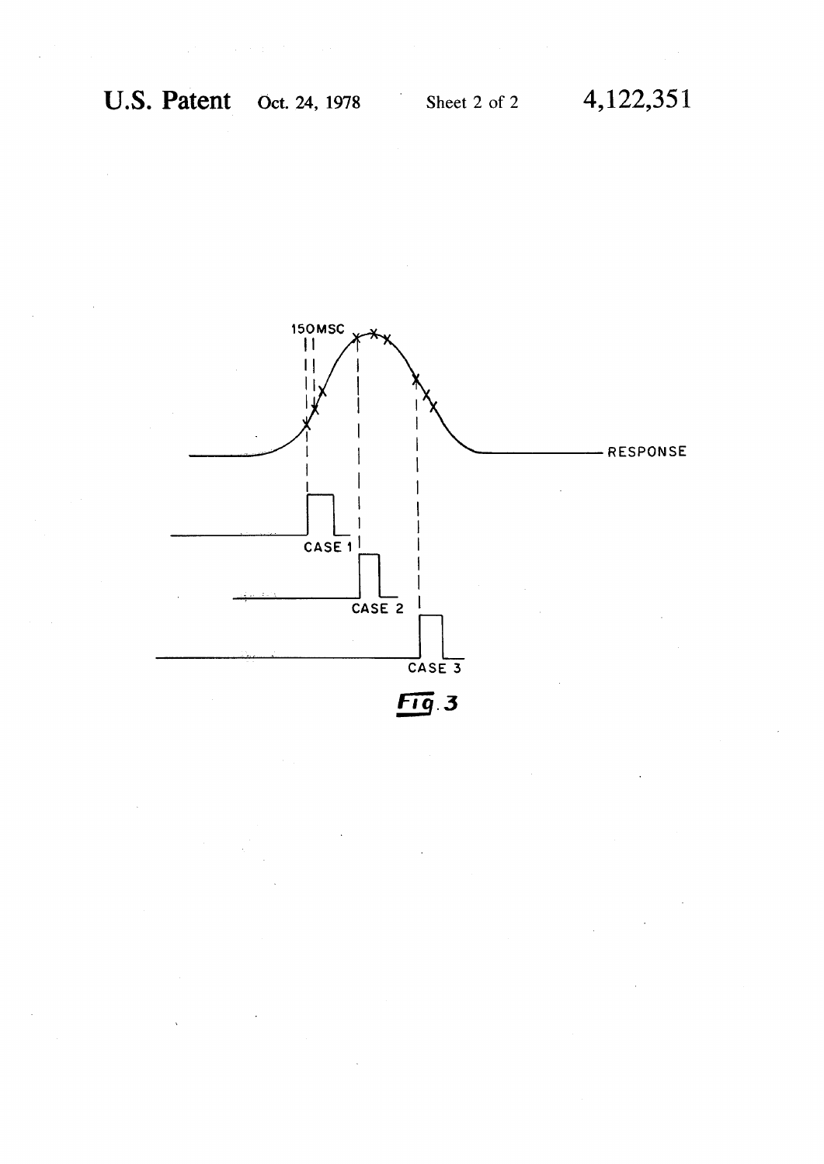**U.S. Patent Oct. 24, 1978** Sheet 2 of 2 4, 122, 351

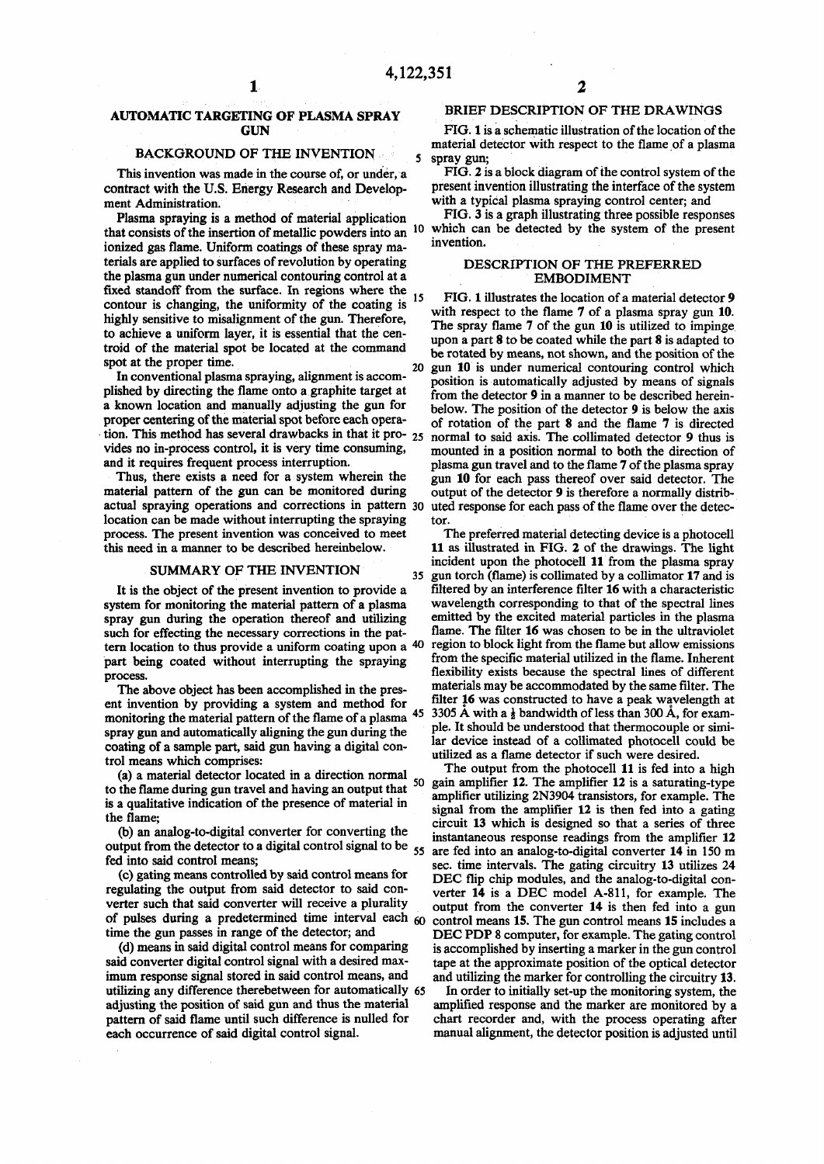## **AUTOMATIC TARGETING OF PLASMA SPRAY GUN**

## **BACKGROUND OF THE INVENTION**

**This invention was made in the course of, or under, a contract with the U.S. Energy Research and Development Administration.** 

**Plasma spraying is a method of material application ionized gas flame. Uniform coatings of these spray materials are applied to surfaces of revolution by operating the plasma gun under numerical contouring control at a**  fixed standoff from the surface. In regions where the  $_{15}$ **contour is changing, the uniformity of the coating is highly sensitive to misalignment of the gun. Therefore, to achieve a uniform layer, it is essential that the centroid of the material spot be located at the command**  spot at the proper time.

**In conventional plasma spraying, alignment is accomplished by directing the flame onto a graphite target at a known location and manually adjusting the gun for proper centering of the material spot before each operavides no in-process control, it is very time consuming, and it requires frequent process interruption.** 

**Thus, there exists a need for a system wherein the material pattern of the gun can be monitored during actual spraying operations and corrections in pattern** 30 **location can be made without interrupting the spraying process. The present invention was conceived to meet this need in a manner to be described hereinbelow.** 

## **SUMMARY OF THE INVENTION<sup>3</sup> <sup>5</sup>**

**It is the object of the present invention to provide a system for monitoring the material pattern of a plasma spray gun during the operation thereof and utilizing such for effecting the necessary corrections in the pattern location to thus provide a uniform coating upon a<sup>4</sup> <sup>0</sup> part being coated without interrupting the spraying process.** 

**The above object has been accomplished in the present invention by providing a system and method for monitoring the material pattern of the flame of a plasma 4 5 spray gun and automatically aligning the gun during the coating of a sample part, said gun having a digital control means which comprises:** 

 $(a)$  a material detector located in a direction normal **to the flame during gun travel and having an output that is a qualitative indication of the presence of material in the flame;** 

**(b) an analog-to-digital converter for converting the output from the detector to a digital control signal to be<sup>5</sup> <sup>5</sup> are fed into an analog-to-digital converter 14 in 150 m fed into said control means;** 

**(c) gating means controlled by said control means for regulating the output from said detector to said converter such that said converter will receive a plurality of pulses during a predetermined time interval each 50 time the gun passes in range of the detector; and** 

**(d) means in said digital control means for comparing said converter digital control signal with a desired maximum response signal stored in said control means, and utilizing any difference therebetween for automatically 65 adjusting the position of said gun and thus the material pattern of said flame until such difference is nulled for each occurrence of said digital control signal.** 

#### **BRIEF DESCRIPTION OF THE DRAWINGS**

**2** 

**FIG. 1 is a schematic illustration of the location of the material detector with respect to the flame of a plasma spray gun;** 

**FIG. 2 is a block diagram of the control system of the present invention illustrating the interface of the system with a typical plasma spraying control center; and** 

**that consists of the insertion of metallic powders into an 1 0 which can be detected by the system of the present FIG. 3 is a graph illustrating three possible responses invention.** 

#### **DESCRIPTION OF THE PREFERRED EMBODIMENT**

**tion. This method has several drawbacks in that it pro- 25 normal to said axis. The collimated detector 9 thus is FIG. 1 illustrates the location of a material detector 9 with respect to the flame 7 of a plasma spray gun 10. The spray flame 7 of the gun 10 is utilized to impinge upon a part 8 to be coated while the part 8 is adapted to be rotated by means, not shown, and the position of the gun 10 is under numerical contouring control which position is automatically adjusted by means of signals from the detector 9 in a manner to be described hereinbelow. The position of the detector 9 is below the axis of rotation of the part 8 and the flame 7 is directed mounted in a position normal to both the direction of plasma gun travel and to the flame 7 of the plasma spray gun 10 for each pass thereof over said detector. The output of the detector 9 is therefore a normally distributed response for each pass of the flame over the detector.** 

> **The preferred material detecting device is a photocell 11 as illustrated in FIG. 2 of the drawings. The light incident upon the photocell 11 from the plasma spray gun torch (flame) is collimated by a collimator 17 and is filtered by an interference filter 16 with a characteristic wavelength corresponding to that of the spectral lines emitted by the excited material particles in the plasma flame. The filter 16 was chosen to be in the ultraviolet region to block light from the flame but allow emissions from the specific material utilized in the flame. Inherent flexibility exists because the spectral lines of different materials may be accommodated by the same filter. The filter 16 was constructed to have a peak wavelength at 3305 A with a**  $\frac{1}{2}$  **bandwidth of less than 300 A, for example. It should be understood that thermocouple or similar device instead of a collimated photocell could be utilized as a flame detector if such were desired.**

**The output from the photocell 11 is fed into a high gain amplifier 12. The amplifier 12 is a saturating-type amplifier utilizing 2N3904 transistors, for example. The signal from the amplifier 12 is then fed into a gating circuit 13 which is designed so that a series of three instantaneous response readings from the amplifier 12 sec. time intervals. The gating circuitry 13 utilizes 24**  DEC flip chip modules, and the analog-to-digital con**verter 14 is a DEC model A-811, for example. The output from the converter 14 is then fed into a gun control means 15. The gun control means 15 includes a D EC PDP 8 computer, for example. The gating control is accomplished by inserting a marker in the gun control tape at the approximate position of the optical detector and utilizing the marker for controlling the circuitry 13.** 

**In order to initially set-up the monitoring system, the amplified response and the marker are monitored by a chart recorder and, with the process operating after manual alignment, the detector position is adjusted until**